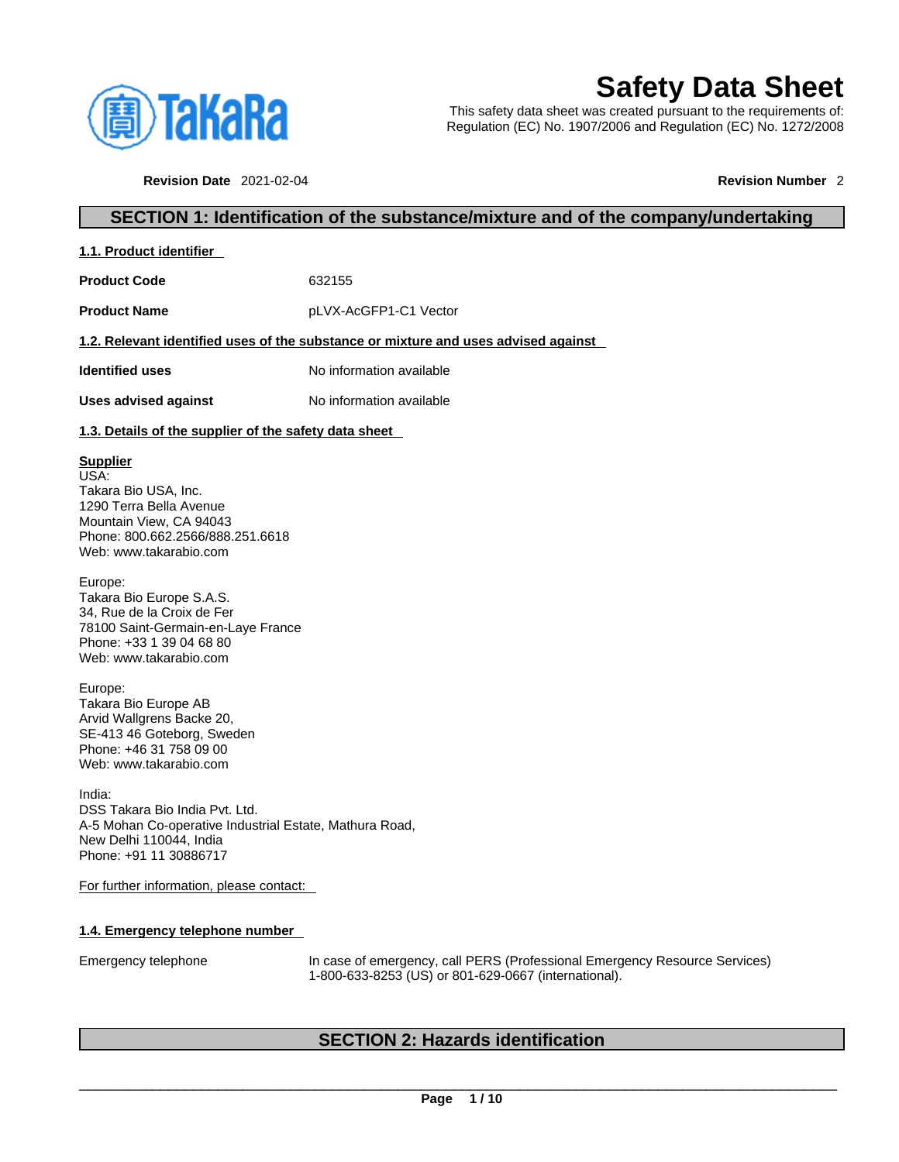

# **Safety Data Sheet**

This safety data sheet was created pursuant to the requirements of: Regulation (EC) No. 1907/2006 and Regulation (EC) No. 1272/2008

**Revision Date** 2021-02-04 **Revision Number** 2

### **SECTION 1: Identification of the substance/mixture and of the company/undertaking**

| 1.1. Product identifier |
|-------------------------|
|-------------------------|

**Product Code** 632155

**Product Name** pLVX-AcGFP1-C1 Vector

#### **1.2. Relevant identified uses of the substance or mixture and uses advised against**

**Identified uses** No information available

**Uses advised against** No information available

#### **1.3. Details of the supplier of the safety data sheet**

#### **Supplier**

USA: Takara Bio USA, Inc. 1290 Terra Bella Avenue Mountain View, CA 94043 Phone: 800.662.2566/888.251.6618 Web: www.takarabio.com

Europe: Takara Bio Europe S.A.S. 34, Rue de la Croix de Fer 78100 Saint-Germain-en-Laye France Phone: +33 1 39 04 68 80 Web: www.takarabio.com

Europe: Takara Bio Europe AB Arvid Wallgrens Backe 20, SE-413 46 Goteborg, Sweden Phone: +46 31 758 09 00 Web: www.takarabio.com

India: DSS Takara Bio India Pvt. Ltd. A-5 Mohan Co-operative Industrial Estate, Mathura Road, New Delhi 110044, India Phone: +91 11 30886717

For further information, please contact:

#### **1.4. Emergency telephone number**

Emergency telephone In case of emergency, call PERS (Professional Emergency Resource Services) 1-800-633-8253 (US) or 801-629-0667 (international).

### **SECTION 2: Hazards identification**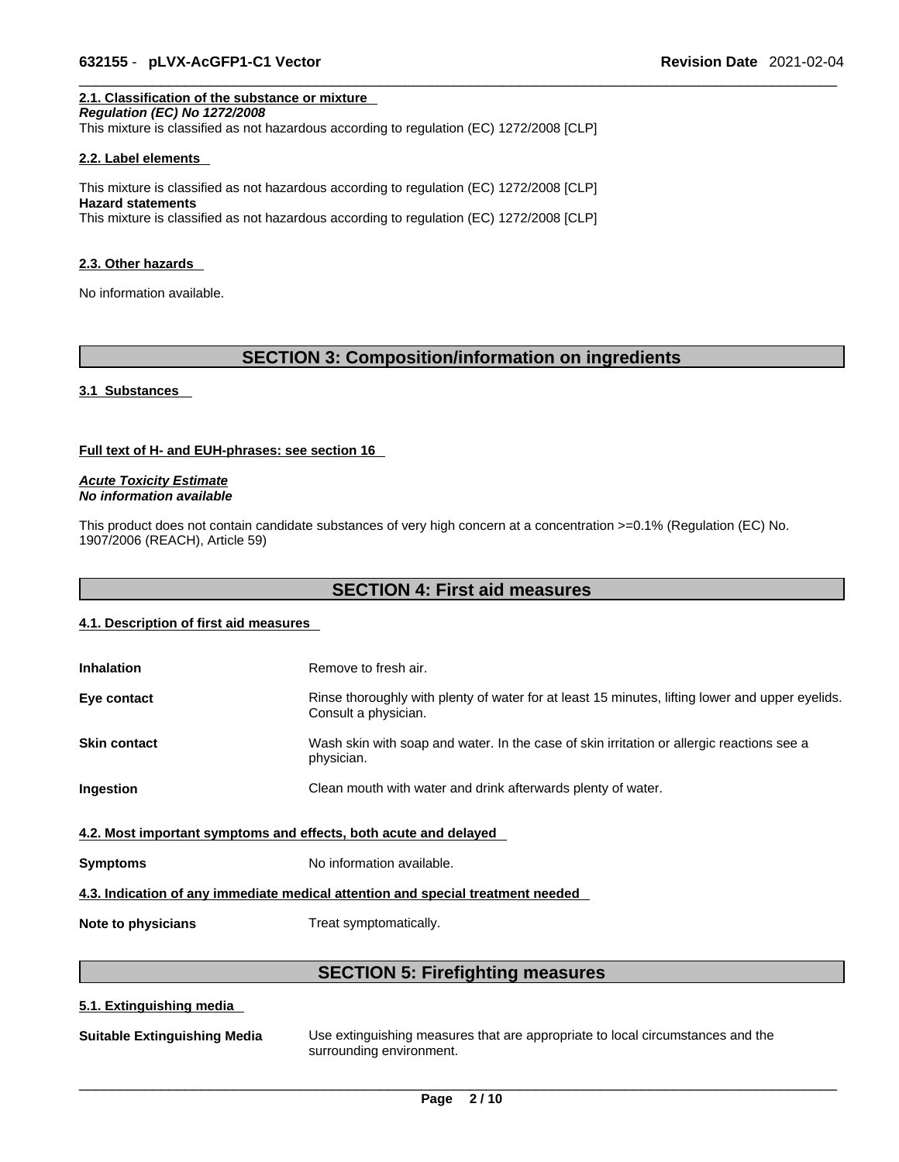### **2.1. Classification of the substance or mixture**

*Regulation (EC) No 1272/2008*  This mixture is classified as not hazardous according to regulation (EC) 1272/2008 [CLP]

#### **2.2. Label elements**

This mixture is classified as not hazardous according to regulation (EC) 1272/2008 [CLP] **Hazard statements** This mixture is classified as not hazardous according to regulation (EC) 1272/2008 [CLP]

#### **2.3. Other hazards**

No information available.

### **SECTION 3: Composition/information on ingredients**

#### **3.1 Substances**

#### **Full text of H- and EUH-phrases: see section 16**

*Acute Toxicity Estimate No information available* 

This product does not contain candidate substances of very high concern at a concentration  $>=0.1\%$  (Regulation (EC) No. 1907/2006 (REACH), Article 59)

### **SECTION 4: First aid measures**

#### **4.1. Description of first aid measures**

| <b>Inhalation</b>                                                               | Remove to fresh air.                                                                                                    |  |
|---------------------------------------------------------------------------------|-------------------------------------------------------------------------------------------------------------------------|--|
| Eye contact                                                                     | Rinse thoroughly with plenty of water for at least 15 minutes, lifting lower and upper eyelids.<br>Consult a physician. |  |
| <b>Skin contact</b>                                                             | Wash skin with soap and water. In the case of skin irritation or allergic reactions see a<br>physician.                 |  |
| <b>Ingestion</b>                                                                | Clean mouth with water and drink afterwards plenty of water.                                                            |  |
| 4.2. Most important symptoms and effects, both acute and delayed                |                                                                                                                         |  |
| <b>Symptoms</b>                                                                 | No information available.                                                                                               |  |
| 4.3. Indication of any immediate medical attention and special treatment needed |                                                                                                                         |  |

**Note to physicians** Treat symptomatically.

### **SECTION 5: Firefighting measures**

#### **5.1. Extinguishing media**

| <b>Suitable Extinguishing Media</b> | Use extinguishing measures that are appropriate to local circumstances and the<br>surrounding environment. |
|-------------------------------------|------------------------------------------------------------------------------------------------------------|
|                                     |                                                                                                            |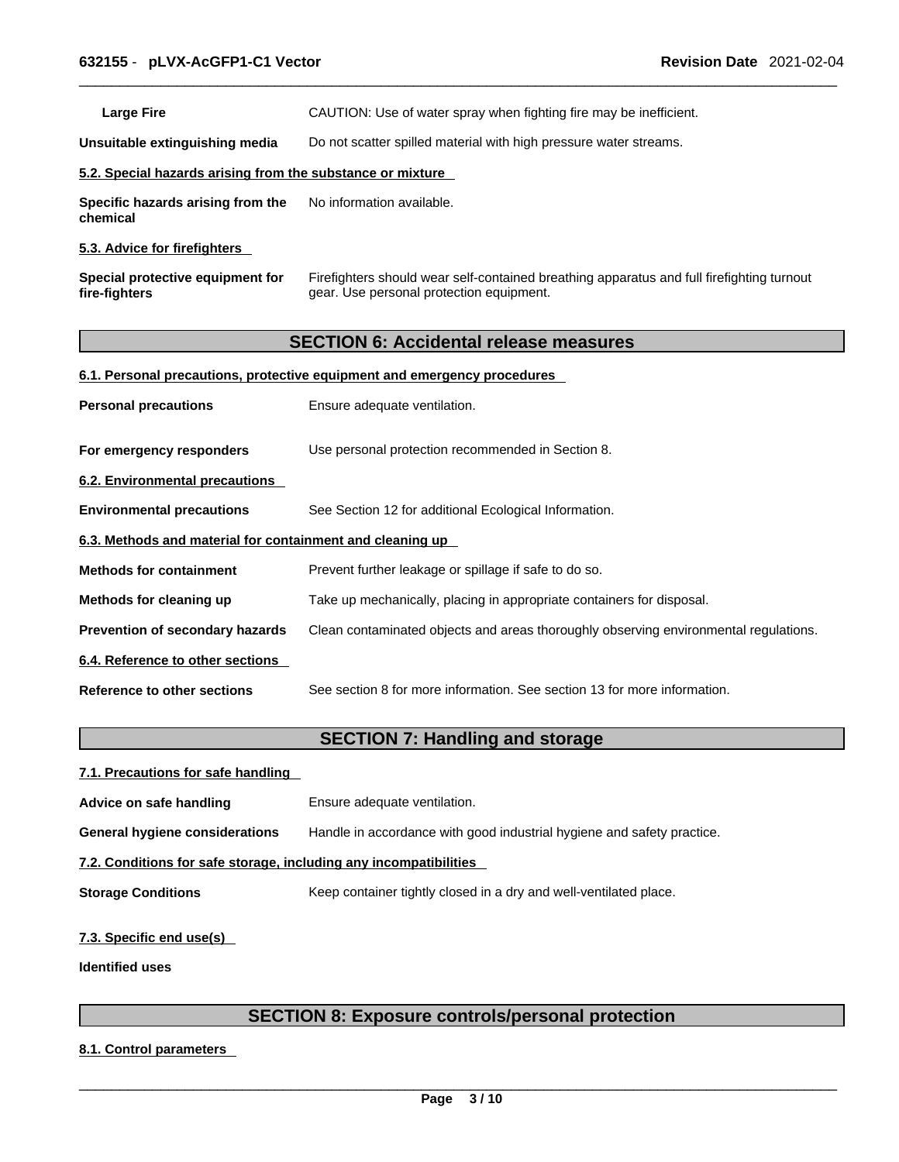Large Fire **Example 20 CAUTION:** Use of water spray when fighting fire may be inefficient.

**Unsuitable extinguishing media** Do not scatter spilled material with high pressure water streams.

#### **5.2. Special hazards arising from the substance or mixture**

**Specific hazards arising from the chemical** No information available.

#### **5.3. Advice for firefighters**

| Special protective equipment for | Firefighters should wear self-contained breathing apparatus and full firefighting turnout |
|----------------------------------|-------------------------------------------------------------------------------------------|
| fire-fighters                    | gear. Use personal protection equipment.                                                  |

### **SECTION 6: Accidental release measures**

#### **6.1. Personal precautions, protective equipment and emergency procedures**

| <b>Personal precautions</b>                               | Ensure adequate ventilation.                                                         |  |
|-----------------------------------------------------------|--------------------------------------------------------------------------------------|--|
| For emergency responders                                  | Use personal protection recommended in Section 8.                                    |  |
| 6.2. Environmental precautions                            |                                                                                      |  |
| <b>Environmental precautions</b>                          | See Section 12 for additional Ecological Information.                                |  |
| 6.3. Methods and material for containment and cleaning up |                                                                                      |  |
| <b>Methods for containment</b>                            | Prevent further leakage or spillage if safe to do so.                                |  |
| Methods for cleaning up                                   | Take up mechanically, placing in appropriate containers for disposal.                |  |
| <b>Prevention of secondary hazards</b>                    | Clean contaminated objects and areas thoroughly observing environmental regulations. |  |
| 6.4. Reference to other sections                          |                                                                                      |  |
| Reference to other sections                               | See section 8 for more information. See section 13 for more information.             |  |

### **SECTION 7: Handling and storage**

| 7.1. Precautions for safe handling                                |                                                                        |  |
|-------------------------------------------------------------------|------------------------------------------------------------------------|--|
| Advice on safe handling                                           | Ensure adequate ventilation.                                           |  |
| <b>General hygiene considerations</b>                             | Handle in accordance with good industrial hygiene and safety practice. |  |
| 7.2. Conditions for safe storage, including any incompatibilities |                                                                        |  |
| <b>Storage Conditions</b>                                         | Keep container tightly closed in a dry and well-ventilated place.      |  |
|                                                                   |                                                                        |  |

### **7.3. Specific end use(s)**

**Identified uses**

### **SECTION 8: Exposure controls/personal protection**

**8.1. Control parameters**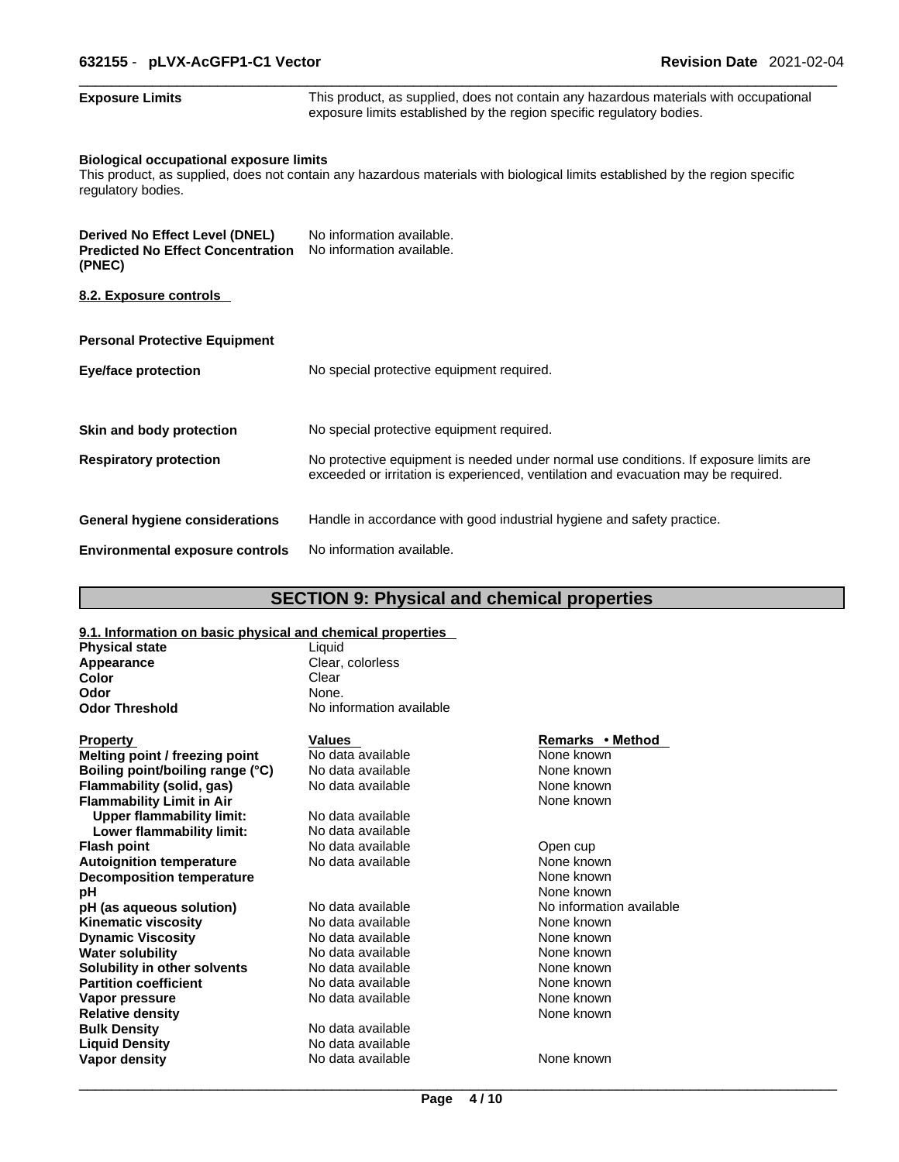**Exposure Limits** This product, as supplied, does not contain any hazardous materials with occupational exposure limits established by the region specific regulatory bodies.

#### **Biological occupational exposure limits**

This product, as supplied, does not contain any hazardous materials with biological limits established by the region specific regulatory bodies.

| Derived No Effect Level (DNEL)<br><b>Predicted No Effect Concentration</b><br>(PNEC) | No information available.<br>No information available.                                                                                                                      |
|--------------------------------------------------------------------------------------|-----------------------------------------------------------------------------------------------------------------------------------------------------------------------------|
| 8.2. Exposure controls                                                               |                                                                                                                                                                             |
| <b>Personal Protective Equipment</b>                                                 |                                                                                                                                                                             |
| Eye/face protection                                                                  | No special protective equipment required.                                                                                                                                   |
| Skin and body protection                                                             | No special protective equipment required.                                                                                                                                   |
| <b>Respiratory protection</b>                                                        | No protective equipment is needed under normal use conditions. If exposure limits are<br>exceeded or irritation is experienced, ventilation and evacuation may be required. |
| General hygiene considerations                                                       | Handle in accordance with good industrial hygiene and safety practice.                                                                                                      |
| <b>Environmental exposure controls</b>                                               | No information available.                                                                                                                                                   |

### **SECTION 9: Physical and chemical properties**

| 9.1. Information on basic physical and chemical properties |                          |                          |
|------------------------------------------------------------|--------------------------|--------------------------|
| <b>Physical state</b>                                      | Liquid                   |                          |
| Appearance                                                 | Clear, colorless         |                          |
| Color                                                      | Clear                    |                          |
| Odor                                                       | None.                    |                          |
| <b>Odor Threshold</b>                                      | No information available |                          |
| <b>Property</b>                                            | <b>Values</b>            | Remarks • Method         |
| Melting point / freezing point                             | No data available        | None known               |
| Boiling point/boiling range (°C)                           | No data available        | None known               |
| Flammability (solid, gas)                                  | No data available        | None known               |
| <b>Flammability Limit in Air</b>                           |                          | None known               |
| <b>Upper flammability limit:</b>                           | No data available        |                          |
| Lower flammability limit:                                  | No data available        |                          |
| <b>Flash point</b>                                         | No data available        | Open cup                 |
| <b>Autoignition temperature</b>                            | No data available        | None known               |
| <b>Decomposition temperature</b>                           |                          | None known               |
| pH                                                         |                          | None known               |
| pH (as aqueous solution)                                   | No data available        | No information available |
| <b>Kinematic viscosity</b>                                 | No data available        | None known               |
| <b>Dynamic Viscosity</b>                                   | No data available        | None known               |
| <b>Water solubility</b>                                    | No data available        | None known               |
| Solubility in other solvents                               | No data available        | None known               |
| <b>Partition coefficient</b>                               | No data available        | None known               |
| Vapor pressure                                             | No data available        | None known               |
| <b>Relative density</b>                                    |                          | None known               |
| <b>Bulk Density</b>                                        | No data available        |                          |
| <b>Liquid Density</b>                                      | No data available        |                          |
| Vapor density                                              | No data available        | None known               |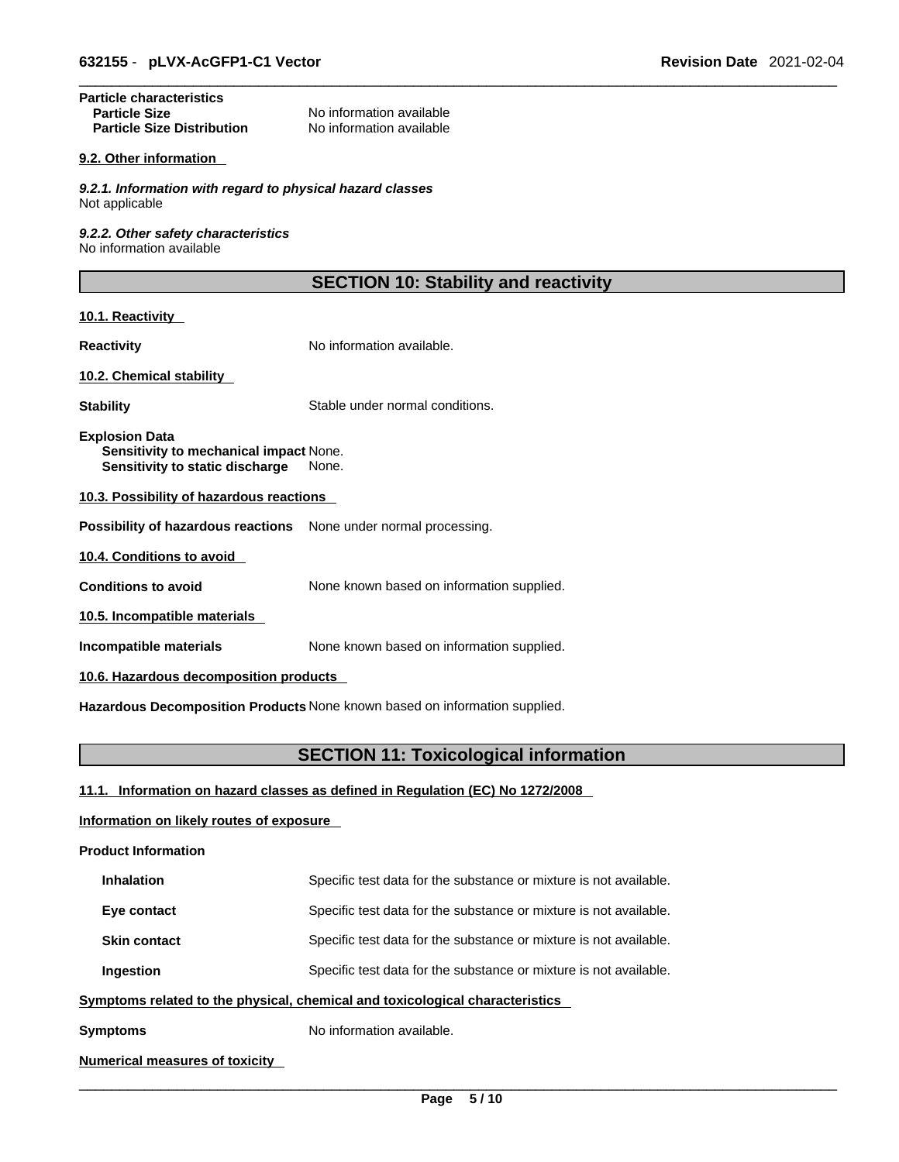## **Particle characteristics Particle Size Distribution**

No information available<br>No information available

#### **9.2. Other information**

*9.2.1. Information with regard to physical hazard classes* Not applicable

*9.2.2. Other safety characteristics* No information available

### **SECTION 10: Stability and reactivity**

#### **10.1. Reactivity**

**Reactivity No information available.** 

#### **10.2. Chemical stability**

**Stability** Stable under normal conditions.

**Explosion Data Sensitivity to mechanical impact** None. **Sensitivity to static discharge** None.

#### **10.3. Possibility of hazardous reactions**

**Possibility of hazardous reactions** None under normal processing.

**10.4. Conditions to avoid** 

**Conditions to avoid** None known based on information supplied.

**10.5. Incompatible materials**

**Incompatible materials** None known based on information supplied.

**10.6. Hazardous decomposition products** 

**Hazardous Decomposition Products** None known based on information supplied.

### **SECTION 11: Toxicological information**

**11.1. Information on hazard classes as defined in Regulation (EC) No 1272/2008**

#### **Information on likely routes of exposure**

**Product Information**

| <b>Inhalation</b>   | Specific test data for the substance or mixture is not available.            |
|---------------------|------------------------------------------------------------------------------|
| Eye contact         | Specific test data for the substance or mixture is not available.            |
| <b>Skin contact</b> | Specific test data for the substance or mixture is not available.            |
| Ingestion           | Specific test data for the substance or mixture is not available.            |
|                     | Symptoms related to the physical, chemical and toxicological characteristics |

**Symptoms** No information available.

#### **Numerical measures of toxicity**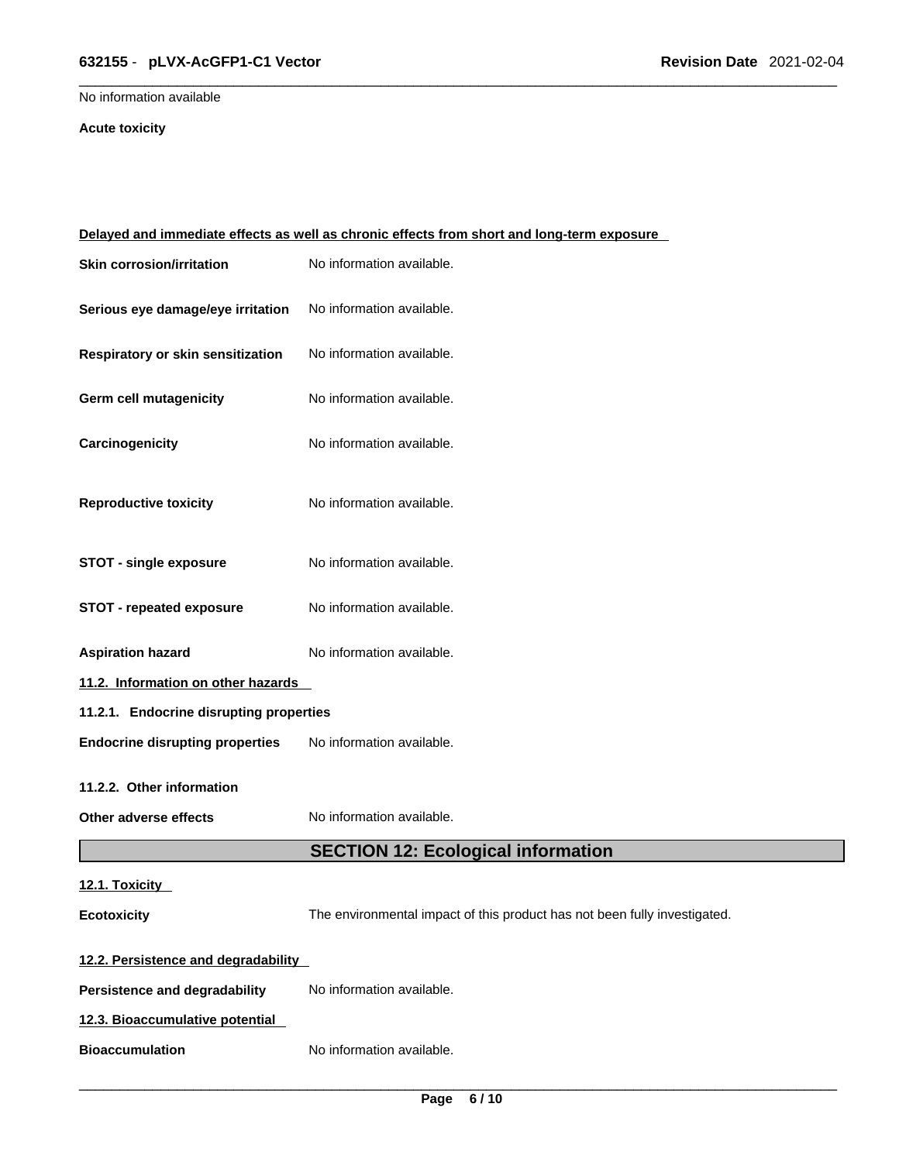No information available

#### **Acute toxicity**

| Delayed and immediate effects as well as chronic effects from short and long-term exposure |                                                                           |  |
|--------------------------------------------------------------------------------------------|---------------------------------------------------------------------------|--|
| <b>Skin corrosion/irritation</b>                                                           | No information available.                                                 |  |
| Serious eye damage/eye irritation                                                          | No information available.                                                 |  |
| Respiratory or skin sensitization                                                          | No information available.                                                 |  |
| Germ cell mutagenicity                                                                     | No information available.                                                 |  |
| Carcinogenicity                                                                            | No information available.                                                 |  |
| <b>Reproductive toxicity</b>                                                               | No information available.                                                 |  |
| <b>STOT - single exposure</b>                                                              | No information available.                                                 |  |
| <b>STOT - repeated exposure</b>                                                            | No information available.                                                 |  |
| <b>Aspiration hazard</b>                                                                   | No information available.                                                 |  |
| 11.2. Information on other hazards                                                         |                                                                           |  |
| 11.2.1. Endocrine disrupting properties                                                    |                                                                           |  |
| <b>Endocrine disrupting properties</b>                                                     | No information available.                                                 |  |
| 11.2.2. Other information                                                                  |                                                                           |  |
| Other adverse effects                                                                      | No information available.                                                 |  |
|                                                                                            | <b>SECTION 12: Ecological information</b>                                 |  |
| 12.1. Toxicity                                                                             |                                                                           |  |
| <b>Ecotoxicity</b>                                                                         | The environmental impact of this product has not been fully investigated. |  |
| 12.2. Persistence and degradability                                                        |                                                                           |  |
| <b>Persistence and degradability</b>                                                       | No information available.                                                 |  |
| 12.3. Bioaccumulative potential                                                            |                                                                           |  |
| <b>Bioaccumulation</b>                                                                     | No information available.                                                 |  |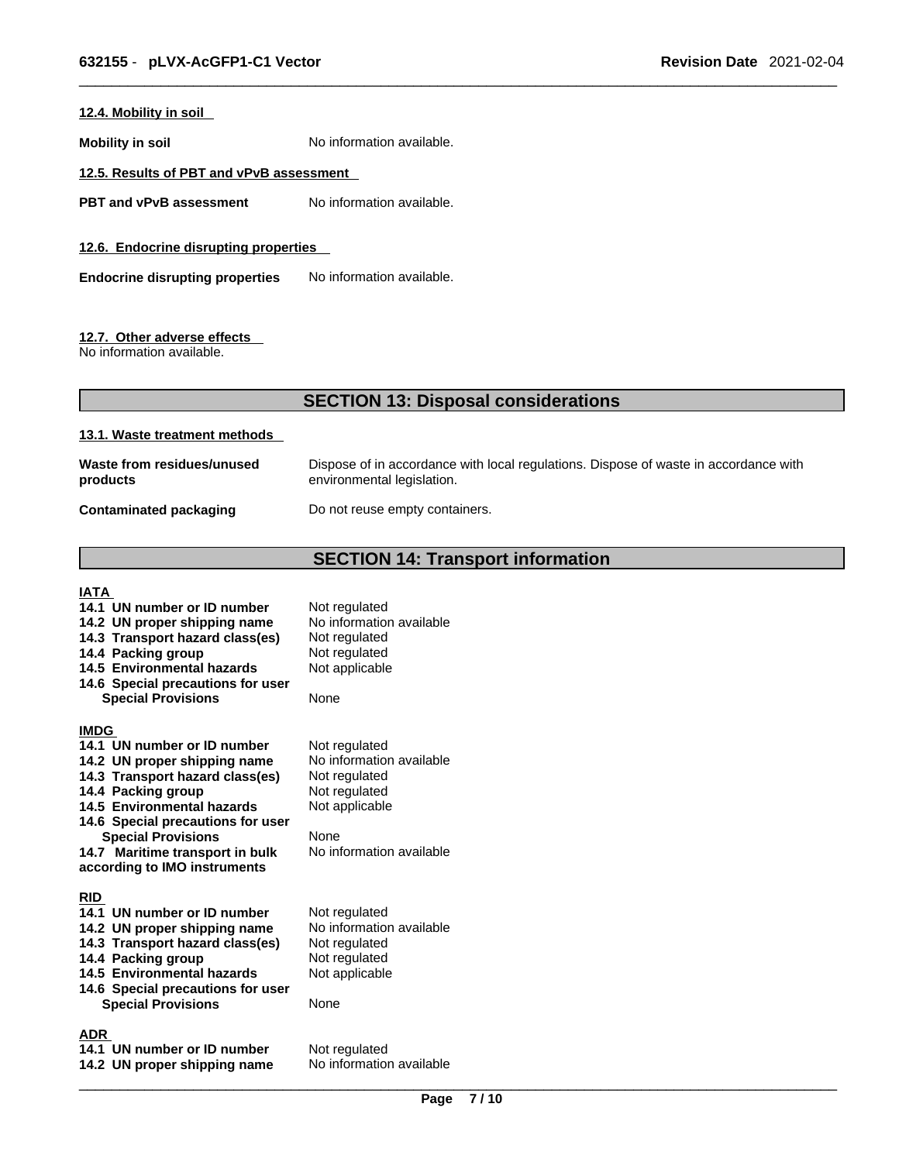#### **12.4. Mobility in soil**

**Mobility in soil** No information available.

#### **12.5. Results of PBT and vPvB assessment**

**PBT** and **vPvB** assessment No information available.

**12.6. Endocrine disrupting properties** 

**Endocrine disrupting properties** No information available.

#### **12.7. Other adverse effects**

No information available.

### **SECTION 13: Disposal considerations**

#### **13.1. Waste treatment methods**

| Waste from residues/unused    | Dispose of in accordance with local regulations. Dispose of waste in accordance with |
|-------------------------------|--------------------------------------------------------------------------------------|
| products                      | environmental legislation.                                                           |
| <b>Contaminated packaging</b> | Do not reuse empty containers.                                                       |

### **SECTION 14: Transport information**

#### **IATA**

- **14.1 UN number or ID number** Not regulated **14.2 UN proper shipping name** No information available **14.3 Transport hazard class(es)** Not regulated **14.4 Packing group** Not regulated **14.4 Packing group Not regulated 14.5 Environmental hazards Not applicable 14.5 Environmental hazards 14.6 Special precautions for user Special Provisions** None **IMDG 14.1 UN number or ID number** Not regulated **14.2 UN proper shipping name** No information available **14.3 Transport hazard class(es)** Not regulated **14.3 Transport hazard class(es) 14.4 Packing group <b>Calcu** Not regulated<br>**14.5 Environmental hazards** Not applicable **14.5 Environmental hazards 14.6 Special precautions for user Special Provisions** None **14.7 Maritime transport in bulk according to IMO instruments RID 14.1 UN number or ID number** Not regulated<br>**14.2 UN proper shipping name** No information available **14.2 UN proper shipping name** No information<br>**14.3 Transport hazard class(es)** Not regulated **14.3 Transport hazard class(es) 14.4 Packing group Mot regulated** 14.5 Environmental hazards Not applicable **14.6 Special precautions for user Special Provisions ADR**
- **14.1 UN number or ID number** Not regulated<br>**14.2 UN proper shipping name** No information available **14.2 UN proper shipping name**

No information available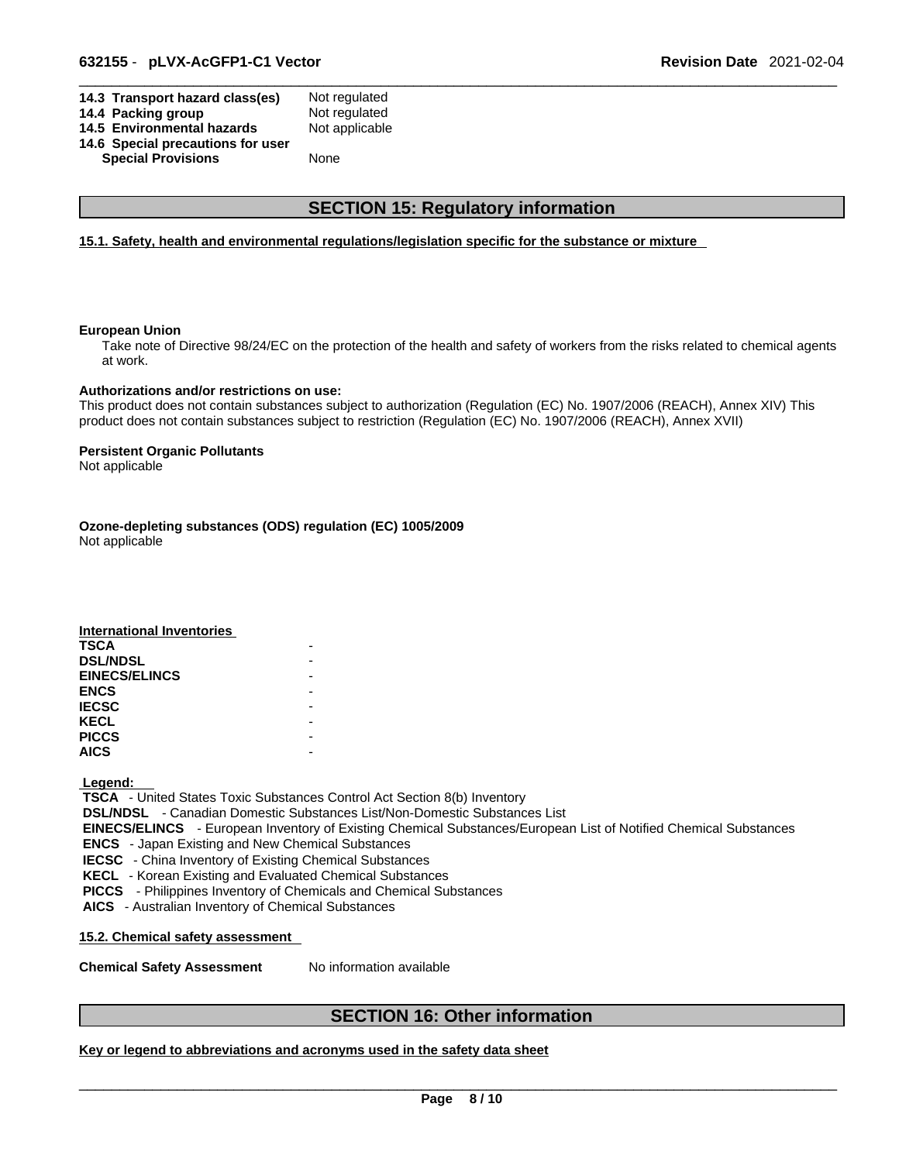| 14.3 Transport hazard class(es)   | Not regulated  |
|-----------------------------------|----------------|
| 14.4 Packing group                | Not regulated  |
| 14.5 Environmental hazards        | Not applicable |
| 14.6 Special precautions for user |                |
| <b>Special Provisions</b>         | None           |

### **SECTION 15: Regulatory information**

#### **15.1. Safety, health and environmental regulations/legislation specific for the substance or mixture**

#### **European Union**

Take note of Directive 98/24/EC on the protection of the health and safety of workers from the risks related to chemical agents at work.

#### **Authorizations and/or restrictions on use:**

This product does not contain substances subject to authorization (Regulation (EC) No. 1907/2006 (REACH), Annex XIV) This product does not contain substances subject to restriction (Regulation (EC) No. 1907/2006 (REACH), Annex XVII)

#### **Persistent Organic Pollutants**

Not applicable

### **Ozone-depleting substances (ODS) regulation (EC) 1005/2009**

Not applicable

| <b>International Inventories</b> |  |
|----------------------------------|--|
| <b>TSCA</b>                      |  |
| <b>DSL/NDSL</b>                  |  |
| <b>EINECS/ELINCS</b>             |  |
| <b>ENCS</b>                      |  |
| <b>IECSC</b>                     |  |
| <b>KECL</b>                      |  |
| <b>PICCS</b>                     |  |
| <b>AICS</b>                      |  |

#### **Legend:**

 **TSCA** - United States Toxic Substances Control Act Section 8(b) Inventory

 **DSL/NDSL** - Canadian Domestic Substances List/Non-Domestic Substances List

 **EINECS/ELINCS** - European Inventory of Existing Chemical Substances/European List of Notified Chemical Substances  **ENCS** - Japan Existing and New Chemical Substances

- **IECSC**  China Inventory of Existing Chemical Substances
- **KECL**  Korean Existing and Evaluated Chemical Substances
- **PICCS**  Philippines Inventory of Chemicals and Chemical Substances

 **AICS** - Australian Inventory of Chemical Substances

**15.2. Chemical safety assessment**

**Chemical Safety Assessment** No information available

### **SECTION 16: Other information**

#### **Key or legend to abbreviations and acronyms used in the safety data sheet**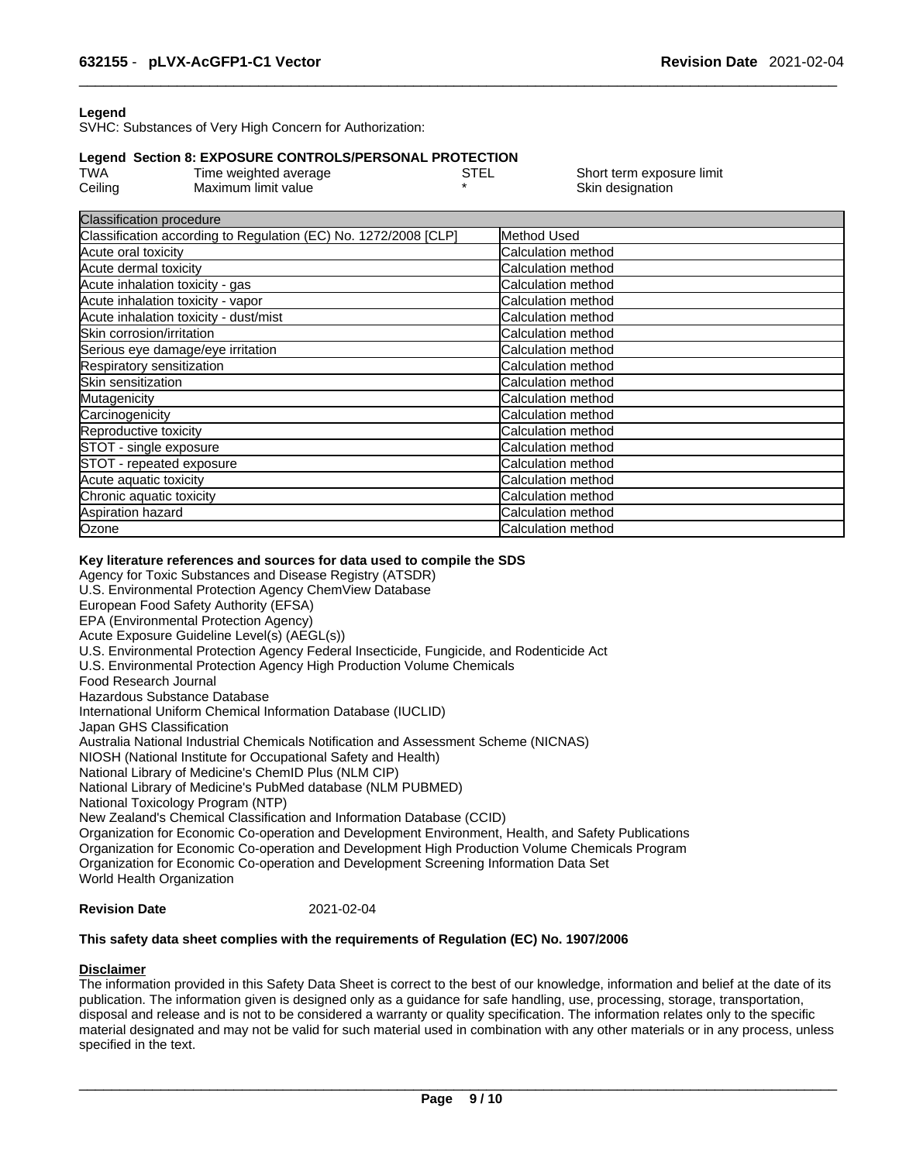#### **Legend**

SVHC: Substances of Very High Concern for Authorization:

#### **Legend Section 8: EXPOSURE CONTROLS/PERSONAL PROTECTION**

| <b>TWA</b> | Time weighted average | <b>STEL</b> | Shc  |
|------------|-----------------------|-------------|------|
| Ceiling    | Maximum limit value   |             | Skiı |

ort term exposure limit n designation

| <b>Classification procedure</b>                                 |                           |
|-----------------------------------------------------------------|---------------------------|
| Classification according to Regulation (EC) No. 1272/2008 [CLP] | Method Used               |
| Acute oral toxicity                                             | Calculation method        |
| Acute dermal toxicity                                           | Calculation method        |
| Acute inhalation toxicity - gas                                 | Calculation method        |
| Acute inhalation toxicity - vapor                               | Calculation method        |
| Acute inhalation toxicity - dust/mist                           | Calculation method        |
| Skin corrosion/irritation                                       | Calculation method        |
| Serious eye damage/eye irritation                               | <b>Calculation method</b> |
| Respiratory sensitization                                       | <b>Calculation method</b> |
| Skin sensitization                                              | Calculation method        |
| Mutagenicity                                                    | Calculation method        |
| Carcinogenicity                                                 | Calculation method        |
| Reproductive toxicity                                           | <b>Calculation method</b> |
| STOT - single exposure                                          | <b>Calculation method</b> |
| STOT - repeated exposure                                        | Calculation method        |
| Acute aquatic toxicity                                          | <b>Calculation method</b> |
| Chronic aquatic toxicity                                        | Calculation method        |
| Aspiration hazard                                               | <b>Calculation method</b> |
| Ozone                                                           | Calculation method        |

#### **Key literature references and sources for data used to compile the SDS**

Agency for Toxic Substances and Disease Registry (ATSDR) U.S. Environmental Protection Agency ChemView Database European Food Safety Authority (EFSA) EPA (Environmental Protection Agency) Acute Exposure Guideline Level(s) (AEGL(s)) U.S. Environmental Protection Agency Federal Insecticide, Fungicide, and Rodenticide Act U.S. Environmental Protection Agency High Production Volume Chemicals Food Research Journal Hazardous Substance Database International Uniform Chemical Information Database (IUCLID) Japan GHS Classification Australia National Industrial Chemicals Notification and Assessment Scheme (NICNAS) NIOSH (National Institute for Occupational Safety and Health) National Library of Medicine's ChemID Plus (NLM CIP) National Library of Medicine's PubMed database (NLM PUBMED) National Toxicology Program (NTP) New Zealand's Chemical Classification and Information Database (CCID) Organization for Economic Co-operation and Development Environment, Health, and Safety Publications Organization for Economic Co-operation and Development High Production Volume Chemicals Program Organization for Economic Co-operation and Development Screening Information Data Set World Health Organization

### **Revision Date** 2021-02-04

#### **This safety data sheet complies with the requirements of Regulation (EC) No. 1907/2006**

### **Disclaimer**

The information provided in this Safety Data Sheet is correct to the best of our knowledge, information and belief at the date of its publication. The information given is designed only as a guidance for safe handling, use, processing, storage, transportation, disposal and release and is not to be considered a warranty or quality specification. The information relates only to the specific material designated and may not be valid for such material used in combination with any other materials or in any process, unless specified in the text.